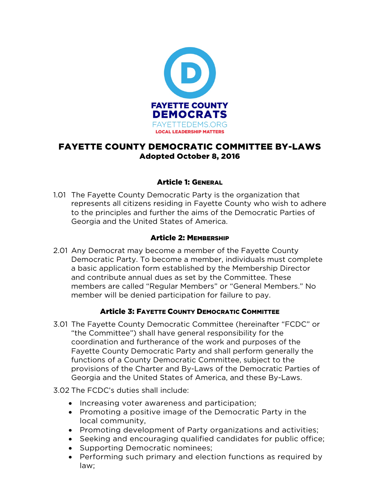

# FAYETTE COUNTY DEMOCRATIC COMMITTEE BY-LAWS Adopted October 8, 2016

## Article 1: GENERAL

1.01 The Fayette County Democratic Party is the organization that represents all citizens residing in Fayette County who wish to adhere to the principles and further the aims of the Democratic Parties of Georgia and the United States of America.

### Article 2: MEMBERSHIP

2.01 Any Democrat may become a member of the Fayette County Democratic Party. To become a member, individuals must complete a basic application form established by the Membership Director and contribute annual dues as set by the Committee. These members are called "Regular Members" or "General Members." No member will be denied participation for failure to pay.

### Article 3: FAYETTE COUNTY DEMOCRATIC COMMITTEE

- 3.01 The Fayette County Democratic Committee (hereinafter "FCDC" or "the Committee") shall have general responsibility for the coordination and furtherance of the work and purposes of the Fayette County Democratic Party and shall perform generally the functions of a County Democratic Committee, subject to the provisions of the Charter and By-Laws of the Democratic Parties of Georgia and the United States of America, and these By-Laws.
- 3.02 The FCDC's duties shall include:
	- Increasing voter awareness and participation;
	- Promoting a positive image of the Democratic Party in the local community,
	- Promoting development of Party organizations and activities;
	- Seeking and encouraging qualified candidates for public office;
	- Supporting Democratic nominees;
	- Performing such primary and election functions as required by law;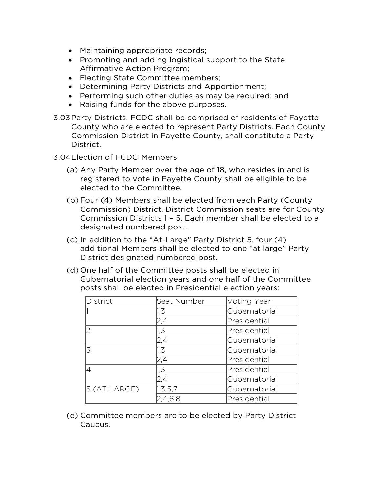- Maintaining appropriate records;
- Promoting and adding logistical support to the State Affirmative Action Program;
- Electing State Committee members;
- Determining Party Districts and Apportionment;
- Performing such other duties as may be required; and
- Raising funds for the above purposes.
- 3.03Party Districts. FCDC shall be comprised of residents of Fayette County who are elected to represent Party Districts. Each County Commission District in Fayette County, shall constitute a Party District.
- 3.04Election of FCDC Members
	- (a) Any Party Member over the age of 18, who resides in and is registered to vote in Fayette County shall be eligible to be elected to the Committee.
	- (b) Four (4) Members shall be elected from each Party (County Commission) District. District Commission seats are for County Commission Districts 1 – 5. Each member shall be elected to a designated numbered post.
	- (c) In addition to the "At-Large" Party District 5, four (4) additional Members shall be elected to one "at large" Party District designated numbered post.
	- (d) One half of the Committee posts shall be elected in Gubernatorial election years and one half of the Committee posts shall be elected in Presidential election years:

| District       | Seat Number | Voting Year   |
|----------------|-------------|---------------|
|                | 1,3         | Gubernatorial |
|                | 2,4         | Presidential  |
| l2             | 1,3         | Presidential  |
|                | 2,4         | Gubernatorial |
| k              | 1,3         | Gubernatorial |
|                | 2,4         | Presidential  |
|                | 1,3         | Presidential  |
|                | 2,4         | Gubernatorial |
| $5$ (AT LARGE) | 1, 3, 5, 7  | Gubernatorial |
|                | 2,4,6,8     | Presidential  |

(e) Committee members are to be elected by Party District Caucus.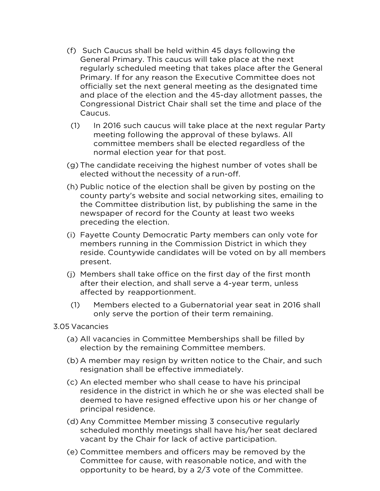- (f) Such Caucus shall be held within 45 days following the General Primary. This caucus will take place at the next regularly scheduled meeting that takes place after the General Primary. If for any reason the Executive Committee does not officially set the next general meeting as the designated time and place of the election and the 45-day allotment passes, the Congressional District Chair shall set the time and place of the Caucus.
- (1) In 2016 such caucus will take place at the next regular Party meeting following the approval of these bylaws. All committee members shall be elected regardless of the normal election year for that post.
- (g) The candidate receiving the highest number of votes shall be elected without the necessity of a run-off.
- (h) Public notice of the election shall be given by posting on the county party's website and social networking sites, emailing to the Committee distribution list, by publishing the same in the newspaper of record for the County at least two weeks preceding the election.
- (i) Fayette County Democratic Party members can only vote for members running in the Commission District in which they reside. Countywide candidates will be voted on by all members present.
- (j) Members shall take office on the first day of the first month after their election, and shall serve a 4-year term, unless affected by reapportionment.
- (1) Members elected to a Gubernatorial year seat in 2016 shall only serve the portion of their term remaining.

3.05 Vacancies

- (a) All vacancies in Committee Memberships shall be filled by election by the remaining Committee members.
- (b) A member may resign by written notice to the Chair, and such resignation shall be effective immediately.
- (c) An elected member who shall cease to have his principal residence in the district in which he or she was elected shall be deemed to have resigned effective upon his or her change of principal residence.
- (d) Any Committee Member missing 3 consecutive regularly scheduled monthly meetings shall have his/her seat declared vacant by the Chair for lack of active participation.
- (e) Committee members and officers may be removed by the Committee for cause, with reasonable notice, and with the opportunity to be heard, by a 2/3 vote of the Committee.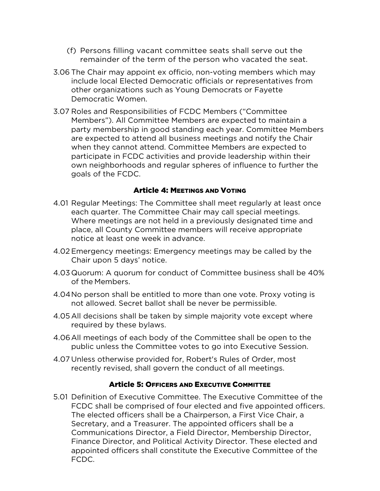- (f) Persons filling vacant committee seats shall serve out the remainder of the term of the person who vacated the seat.
- 3.06 The Chair may appoint ex officio, non-voting members which may include local Elected Democratic officials or representatives from other organizations such as Young Democrats or Fayette Democratic Women.
- 3.07 Roles and Responsibilities of FCDC Members ("Committee Members"). All Committee Members are expected to maintain a party membership in good standing each year. Committee Members are expected to attend all business meetings and notify the Chair when they cannot attend. Committee Members are expected to participate in FCDC activities and provide leadership within their own neighborhoods and regular spheres of influence to further the goals of the FCDC.

### Article 4: MEETINGS AND VOTING

- 4.01 Regular Meetings: The Committee shall meet regularly at least once each quarter. The Committee Chair may call special meetings. Where meetings are not held in a previously designated time and place, all County Committee members will receive appropriate notice at least one week in advance.
- 4.02 Emergency meetings: Emergency meetings may be called by the Chair upon 5 days' notice.
- 4.03 Quorum: A quorum for conduct of Committee business shall be 40% of the Members.
- 4.04No person shall be entitled to more than one vote. Proxy voting is not allowed. Secret ballot shall be never be permissible.
- 4.05All decisions shall be taken by simple majority vote except where required by these bylaws.
- 4.06All meetings of each body of the Committee shall be open to the public unless the Committee votes to go into Executive Session.
- 4.07 Unless otherwise provided for, Robert's Rules of Order, most recently revised, shall govern the conduct of all meetings.

#### Article 5: OFFICERS AND EXECUTIVE COMMITTEE

5.01 Definition of Executive Committee. The Executive Committee of the FCDC shall be comprised of four elected and five appointed officers. The elected officers shall be a Chairperson, a First Vice Chair, a Secretary, and a Treasurer. The appointed officers shall be a Communications Director, a Field Director, Membership Director, Finance Director, and Political Activity Director. These elected and appointed officers shall constitute the Executive Committee of the FCDC.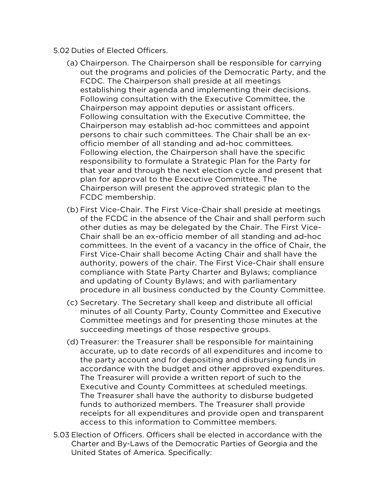- 5.02 Duties of Elected Officers.
	- (a) Chairperson. The Chairperson shall be responsible for carrying out the programs and policies of the Democratic Party, and the FCDC. The Chairperson shall preside at all meetings establishing their agenda and implementing their decisions. Following consultation with the Executive Committee, the Chairperson may appoint deputies or assistant officers. Following consultation with the Executive Committee, the Chairperson may establish ad-hoc committees and appoint persons to chair such committees. The Chair shall be an exofficio member of all standing and ad-hoc committees. Following election, the Chairperson shall have the specific responsibility to formulate a Strategic Plan for the Party for that year and through the next election cycle and present that plan for approval to the Executive Committee. The Chairperson will present the approved strategic plan to the FCDC membership.
	- (b) First Vice-Chair. The First Vice-Chair shall preside at meetings of the FCDC in the absence of the Chair and shall perform such other duties as may be delegated by the Chair. The First Vice-Chair shall be an ex-officio member of all standing and ad-hoc committees. In the event of a vacancy in the office of Chair, the First Vice-Chair shall become Acting Chair and shall have the authority, powers of the chair. The First Vice-Chair shall ensure compliance with State Party Charter and Bylaws; compliance and updating of County Bylaws; and with parliamentary procedure in all business conducted by the County Committee.
	- (c) Secretary. The Secretary shall keep and distribute all official minutes of all County Party, County Committee and Executive Committee meetings and for presenting those minutes at the succeeding meetings of those respective groups.
	- (d) Treasurer: the Treasurer shall be responsible for maintaining accurate, up to date records of all expenditures and income to the party account and for depositing and disbursing funds in accordance with the budget and other approved expenditures. The Treasurer will provide a written report of such to the Executive and County Committees at scheduled meetings. The Treasurer shall have the authority to disburse budgeted funds to authorized members. The Treasurer shall provide receipts for all expenditures and provide open and transparent access to this information to Committee members.
- 5.03 Election of Officers. Officers shall be elected in accordance with the Charter and By-Laws of the Democratic Parties of Georgia and the United States of America. Specifically: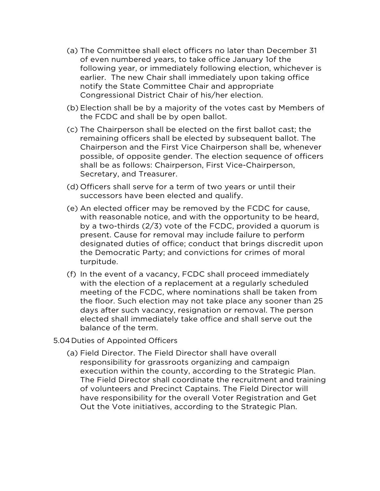- (a) The Committee shall elect officers no later than December 31 of even numbered years, to take office January 1of the following year, or immediately following election, whichever is earlier. The new Chair shall immediately upon taking office notify the State Committee Chair and appropriate Congressional District Chair of his/her election.
- (b) Election shall be by a majority of the votes cast by Members of the FCDC and shall be by open ballot.
- (c) The Chairperson shall be elected on the first ballot cast; the remaining officers shall be elected by subsequent ballot. The Chairperson and the First Vice Chairperson shall be, whenever possible, of opposite gender. The election sequence of officers shall be as follows: Chairperson, First Vice-Chairperson, Secretary, and Treasurer.
- (d) Officers shall serve for a term of two years or until their successors have been elected and qualify.
- (e) An elected officer may be removed by the FCDC for cause, with reasonable notice, and with the opportunity to be heard, by a two-thirds (2/3) vote of the FCDC, provided a quorum is present. Cause for removal may include failure to perform designated duties of office; conduct that brings discredit upon the Democratic Party; and convictions for crimes of moral turpitude.
- (f) In the event of a vacancy, FCDC shall proceed immediately with the election of a replacement at a regularly scheduled meeting of the FCDC, where nominations shall be taken from the floor. Such election may not take place any sooner than 25 days after such vacancy, resignation or removal. The person elected shall immediately take office and shall serve out the balance of the term.
- 5.04 Duties of Appointed Officers
	- (a) Field Director. The Field Director shall have overall responsibility for grassroots organizing and campaign execution within the county, according to the Strategic Plan. The Field Director shall coordinate the recruitment and training of volunteers and Precinct Captains. The Field Director will have responsibility for the overall Voter Registration and Get Out the Vote initiatives, according to the Strategic Plan.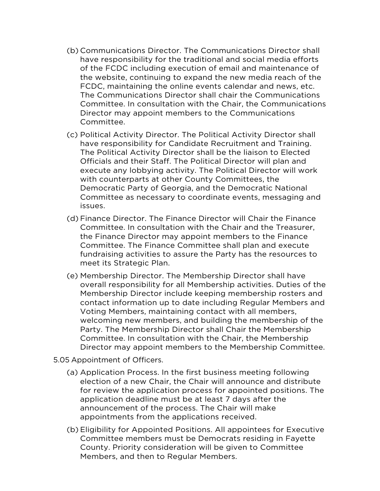- (b) Communications Director. The Communications Director shall have responsibility for the traditional and social media efforts of the FCDC including execution of email and maintenance of the website, continuing to expand the new media reach of the FCDC, maintaining the online events calendar and news, etc. The Communications Director shall chair the Communications Committee. In consultation with the Chair, the Communications Director may appoint members to the Communications Committee.
- (c) Political Activity Director. The Political Activity Director shall have responsibility for Candidate Recruitment and Training. The Political Activity Director shall be the liaison to Elected Officials and their Staff. The Political Director will plan and execute any lobbying activity. The Political Director will work with counterparts at other County Committees, the Democratic Party of Georgia, and the Democratic National Committee as necessary to coordinate events, messaging and issues.
- (d) Finance Director. The Finance Director will Chair the Finance Committee. In consultation with the Chair and the Treasurer, the Finance Director may appoint members to the Finance Committee. The Finance Committee shall plan and execute fundraising activities to assure the Party has the resources to meet its Strategic Plan.
- (e) Membership Director. The Membership Director shall have overall responsibility for all Membership activities. Duties of the Membership Director include keeping membership rosters and contact information up to date including Regular Members and Voting Members, maintaining contact with all members, welcoming new members, and building the membership of the Party. The Membership Director shall Chair the Membership Committee. In consultation with the Chair, the Membership Director may appoint members to the Membership Committee.
- 5.05 Appointment of Officers.
	- (a) Application Process. In the first business meeting following election of a new Chair, the Chair will announce and distribute for review the application process for appointed positions. The application deadline must be at least 7 days after the announcement of the process. The Chair will make appointments from the applications received.
	- (b) Eligibility for Appointed Positions. All appointees for Executive Committee members must be Democrats residing in Fayette County. Priority consideration will be given to Committee Members, and then to Regular Members.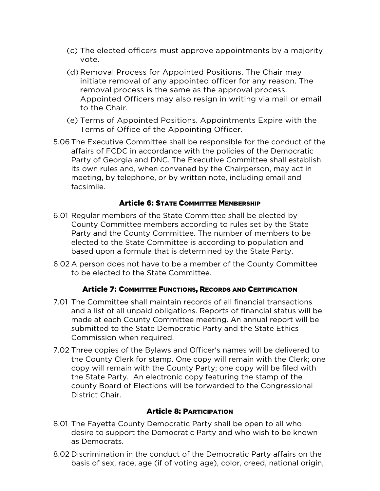- (c) The elected officers must approve appointments by a majority vote.
- (d) Removal Process for Appointed Positions. The Chair may initiate removal of any appointed officer for any reason. The removal process is the same as the approval process. Appointed Officers may also resign in writing via mail or email to the Chair.
- (e) Terms of Appointed Positions. Appointments Expire with the Terms of Office of the Appointing Officer.
- 5.06 The Executive Committee shall be responsible for the conduct of the affairs of FCDC in accordance with the policies of the Democratic Party of Georgia and DNC. The Executive Committee shall establish its own rules and, when convened by the Chairperson, may act in meeting, by telephone, or by written note, including email and facsimile.

#### Article 6: STATE COMMITTEE MEMBERSHIP

- 6.01 Regular members of the State Committee shall be elected by County Committee members according to rules set by the State Party and the County Committee. The number of members to be elected to the State Committee is according to population and based upon a formula that is determined by the State Party.
- 6.02 A person does not have to be a member of the County Committee to be elected to the State Committee.

#### Article 7: COMMITTEE FUNCTIONS, RECORDS AND CERTIFICATION

- 7.01 The Committee shall maintain records of all financial transactions and a list of all unpaid obligations. Reports of financial status will be made at each County Committee meeting. An annual report will be submitted to the State Democratic Party and the State Ethics Commission when required.
- 7.02 Three copies of the Bylaws and Officer's names will be delivered to the County Clerk for stamp. One copy will remain with the Clerk; one copy will remain with the County Party; one copy will be filed with the State Party. An electronic copy featuring the stamp of the county Board of Elections will be forwarded to the Congressional District Chair.

#### Article 8: PARTICIPATION

- 8.01 The Fayette County Democratic Party shall be open to all who desire to support the Democratic Party and who wish to be known as Democrats.
- 8.02 Discrimination in the conduct of the Democratic Party affairs on the basis of sex, race, age (if of voting age), color, creed, national origin,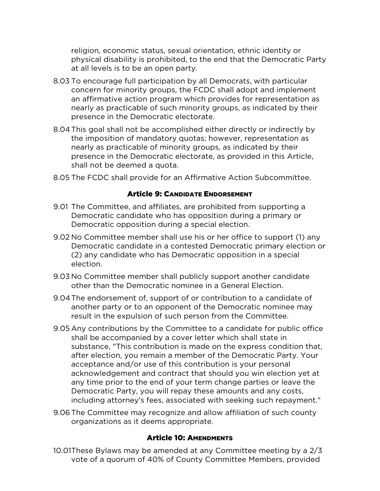religion, economic status, sexual orientation, ethnic identity or physical disability is prohibited, to the end that the Democratic Party at all levels is to be an open party.

- 8.03 To encourage full participation by all Democrats, with particular concern for minority groups, the FCDC shall adopt and implement an affirmative action program which provides for representation as nearly as practicable of such minority groups, as indicated by their presence in the Democratic electorate.
- 8.04This goal shall not be accomplished either directly or indirectly by the imposition of mandatory quotas; however, representation as nearly as practicable of minority groups, as indicated by their presence in the Democratic electorate, as provided in this Article, shall not be deemed a quota.
- 8.05 The FCDC shall provide for an Affirmative Action Subcommittee.

#### Article 9: CANDIDATE ENDORSEMENT

- 9.01 The Committee, and affiliates, are prohibited from supporting a Democratic candidate who has opposition during a primary or Democratic opposition during a special election.
- 9.02 No Committee member shall use his or her office to support (1) any Democratic candidate in a contested Democratic primary election or (2) any candidate who has Democratic opposition in a special election.
- 9.03 No Committee member shall publicly support another candidate other than the Democratic nominee in a General Election.
- 9.04The endorsement of, support of or contribution to a candidate of another party or to an opponent of the Democratic nominee may result in the expulsion of such person from the Committee.
- 9.05 Any contributions by the Committee to a candidate for public office shall be accompanied by a cover letter which shall state in substance, "This contribution is made on the express condition that, after election, you remain a member of the Democratic Party. Your acceptance and/or use of this contribution is your personal acknowledgement and contract that should you win election yet at any time prior to the end of your term change parties or leave the Democratic Party, you will repay these amounts and any costs, including attorney's fees, associated with seeking such repayment."
- 9.06The Committee may recognize and allow affiliation of such county organizations as it deems appropriate.

### Article 10: AMENDMENTS

10.01These Bylaws may be amended at any Committee meeting by a 2/3 vote of a quorum of 40% of County Committee Members, provided